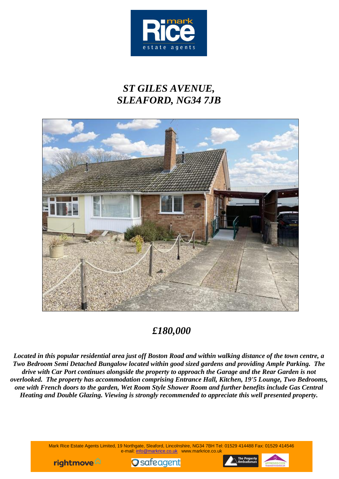

# *ST GILES AVENUE, SLEAFORD, NG34 7JB*



# *£180,000*

*Located in this popular residential area just off Boston Road and within walking distance of the town centre, a Two Bedroom Semi Detached Bungalow located within good sized gardens and providing Ample Parking. The drive with Car Port continues alongside the property to approach the Garage and the Rear Garden is not overlooked. The property has accommodation comprising Entrance Hall, Kitchen, 19'5 Lounge, Two Bedrooms, one with French doors to the garden, Wet Room Style Shower Room and further benefits include Gas Central Heating and Double Glazing. Viewing is strongly recommended to appreciate this well presented property.*

> Mark Rice Estate Agents Limited, 19 Northgate, Sleaford, Lincolnshire, NG34 7BH Tel: 01529 414488 Fax: 01529 414546 e-mail: info@markrice.co.uk www.markrice.co.uk





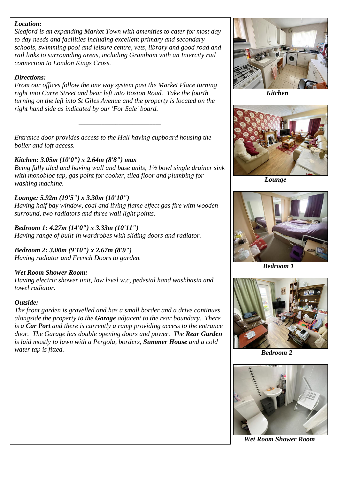#### *Location:*

*Sleaford is an expanding Market Town with amenities to cater for most day to day needs and facilities including excellent primary and secondary schools, swimming pool and leisure centre, vets, library and good road and rail links to surrounding areas, including Grantham with an Intercity rail connection to London Kings Cross.*

#### *Directions:*

*From our offices follow the one way system past the Market Place turning right into Carre Street and bear left into Boston Road. Take the fourth turning on the left into St Giles Avenue and the property is located on the right hand side as indicated by our 'For Sale' board.*

*\_\_\_\_\_\_\_\_\_\_\_\_\_\_\_\_\_\_\_\_\_\_\_\_\_\_\_\_\_*



 *Kitchen*



 *Lounge*



 *Bedroom 1*



 *Bedroom 2*



 *Wet Room Shower Room*

*Entrance door provides access to the Hall having cupboard housing the boiler and loft access.*

# *Kitchen: 3.05m (10'0") x 2.64m (8'8") max*

*Being fully tiled and having wall and base units, 1½ bowl single drainer sink with monobloc tap, gas point for cooker, tiled floor and plumbing for washing machine.*

# *Lounge: 5.92m (19'5") x 3.30m (10'10")*

*Having half bay window, coal and living flame effect gas fire with wooden surround, two radiators and three wall light points.*

*Bedroom 1: 4.27m (14'0") x 3.33m (10'11") Having range of built-in wardrobes with sliding doors and radiator.*

*Bedroom 2: 3.00m (9'10") x 2.67m (8'9") Having radiator and French Doors to garden.*

### *Wet Room Shower Room:*

*Having electric shower unit, low level w.c, pedestal hand washbasin and towel radiator.*

### *Outside:*

*The front garden is gravelled and has a small border and a drive continues alongside the property to the Garage adjacent to the rear boundary. There is a Car Port and there is currently a ramp providing access to the entrance door. The Garage has double opening doors and power. The Rear Garden is laid mostly to lawn with a Pergola, borders, Summer House and a cold water tap is fitted.*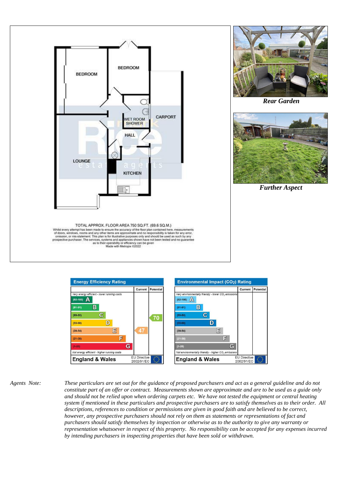





*Agents Note: These particulars are set out for the guidance of proposed purchasers and act as a general guideline and do not constitute part of an offer or contract. Measurements shown are approximate and are to be used as a guide only and should not be relied upon when ordering carpets etc. We have not tested the equipment or central heating system if mentioned in these particulars and prospective purchasers are to satisfy themselves as to their order. All descriptions, references to condition or permissions are given in good faith and are believed to be correct, however, any prospective purchasers should not rely on them as statements or representations of fact and purchasers should satisfy themselves by inspection or otherwise as to the authority to give any warranty or representation whatsoever in respect of this property. No responsibility can be accepted for any expenses incurred by intending purchasers in inspecting properties that have been sold or withdrawn.*